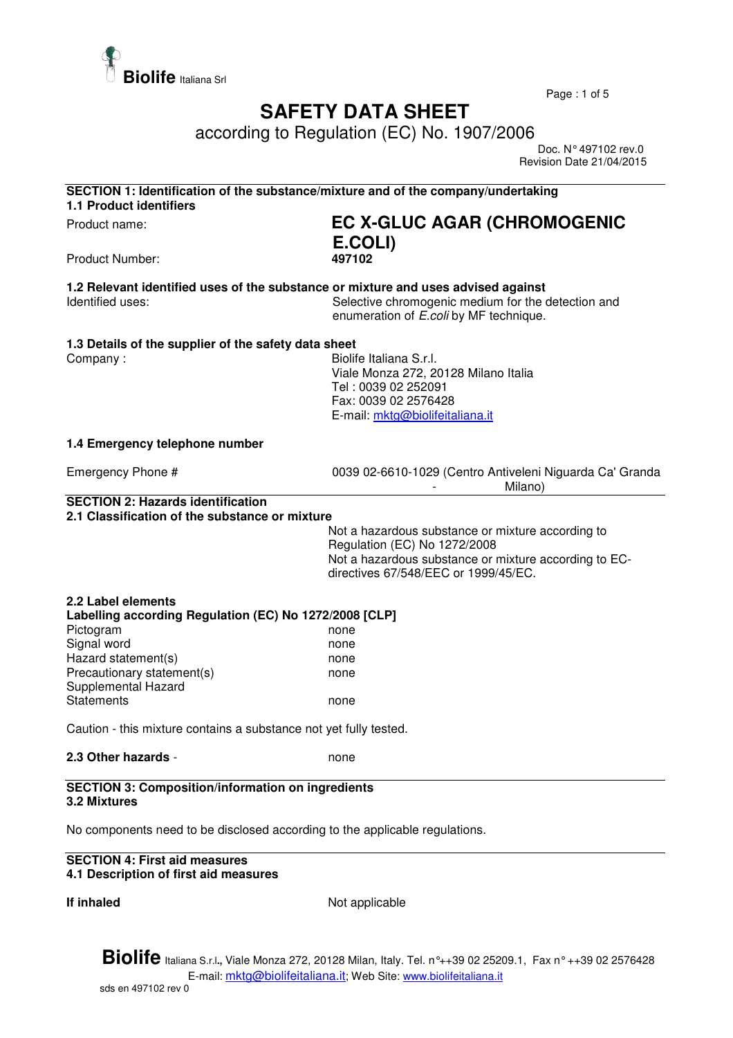

Page : 1 of 5

## **SAFETY DATA SHEET**

according to Regulation (EC) No. 1907/2006

 Doc. N° 497102 rev.0 Revision Date 21/04/2015

| SECTION 1: Identification of the substance/mixture and of the company/undertaking<br><b>1.1 Product identifiers</b> |                                                                                                                                                                                    |  |
|---------------------------------------------------------------------------------------------------------------------|------------------------------------------------------------------------------------------------------------------------------------------------------------------------------------|--|
| Product name:                                                                                                       | <b>EC X-GLUC AGAR (CHROMOGENIC</b><br>E.COLI)                                                                                                                                      |  |
| Product Number:                                                                                                     | 497102                                                                                                                                                                             |  |
| 1.2 Relevant identified uses of the substance or mixture and uses advised against<br>Identified uses:               | Selective chromogenic medium for the detection and<br>enumeration of E.coli by MF technique.                                                                                       |  |
| 1.3 Details of the supplier of the safety data sheet                                                                |                                                                                                                                                                                    |  |
| Company:                                                                                                            | Biolife Italiana S.r.l.<br>Viale Monza 272, 20128 Milano Italia<br>Tel: 0039 02 252091<br>Fax: 0039 02 2576428<br>E-mail: mktg@biolifeitaliana.it                                  |  |
| 1.4 Emergency telephone number                                                                                      |                                                                                                                                                                                    |  |
| Emergency Phone #                                                                                                   | 0039 02-6610-1029 (Centro Antiveleni Niguarda Ca' Granda<br>Milano)                                                                                                                |  |
| <b>SECTION 2: Hazards identification</b><br>2.1 Classification of the substance or mixture                          |                                                                                                                                                                                    |  |
|                                                                                                                     | Not a hazardous substance or mixture according to<br>Regulation (EC) No 1272/2008<br>Not a hazardous substance or mixture according to EC-<br>directives 67/548/EEC or 1999/45/EC. |  |
| 2.2 Label elements                                                                                                  |                                                                                                                                                                                    |  |
| Labelling according Regulation (EC) No 1272/2008 [CLP]                                                              |                                                                                                                                                                                    |  |
| Pictogram<br>Signal word                                                                                            | none                                                                                                                                                                               |  |
| Hazard statement(s)                                                                                                 | none<br>none                                                                                                                                                                       |  |
| Precautionary statement(s)<br>Supplemental Hazard                                                                   | none                                                                                                                                                                               |  |
| <b>Statements</b>                                                                                                   | none                                                                                                                                                                               |  |
| Caution - this mixture contains a substance not yet fully tested.                                                   |                                                                                                                                                                                    |  |
| 2.3 Other hazards -                                                                                                 | none                                                                                                                                                                               |  |
| <b>SECTION 3: Composition/information on ingredients</b><br><b>3.2 Mixtures</b>                                     |                                                                                                                                                                                    |  |
| No components need to be disclosed according to the applicable regulations.                                         |                                                                                                                                                                                    |  |
| <b>SECTION 4: First aid measures</b><br>4.1 Description of first aid measures                                       |                                                                                                                                                                                    |  |
| If inhaled                                                                                                          | Not applicable                                                                                                                                                                     |  |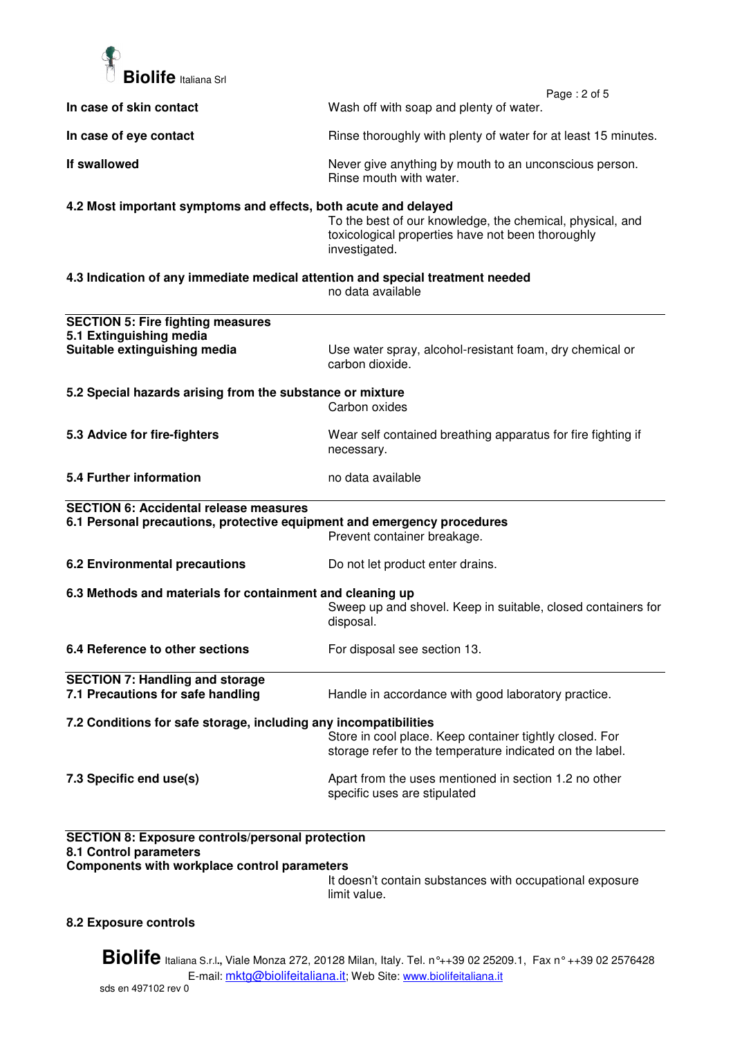

| In case of skin contact                                                                                                           | Page: 2 of 5<br>Wash off with soap and plenty of water.                                                                         |
|-----------------------------------------------------------------------------------------------------------------------------------|---------------------------------------------------------------------------------------------------------------------------------|
|                                                                                                                                   |                                                                                                                                 |
| In case of eye contact                                                                                                            | Rinse thoroughly with plenty of water for at least 15 minutes.                                                                  |
| If swallowed                                                                                                                      | Never give anything by mouth to an unconscious person.<br>Rinse mouth with water.                                               |
| 4.2 Most important symptoms and effects, both acute and delayed                                                                   | To the best of our knowledge, the chemical, physical, and<br>toxicological properties have not been thoroughly<br>investigated. |
| 4.3 Indication of any immediate medical attention and special treatment needed                                                    | no data available                                                                                                               |
| <b>SECTION 5: Fire fighting measures</b>                                                                                          |                                                                                                                                 |
| 5.1 Extinguishing media<br>Suitable extinguishing media                                                                           | Use water spray, alcohol-resistant foam, dry chemical or<br>carbon dioxide.                                                     |
| 5.2 Special hazards arising from the substance or mixture                                                                         | Carbon oxides                                                                                                                   |
| 5.3 Advice for fire-fighters                                                                                                      | Wear self contained breathing apparatus for fire fighting if<br>necessary.                                                      |
| 5.4 Further information                                                                                                           | no data available                                                                                                               |
| <b>SECTION 6: Accidental release measures</b>                                                                                     |                                                                                                                                 |
| 6.1 Personal precautions, protective equipment and emergency procedures                                                           | Prevent container breakage.                                                                                                     |
| <b>6.2 Environmental precautions</b>                                                                                              | Do not let product enter drains.                                                                                                |
| 6.3 Methods and materials for containment and cleaning up                                                                         | Sweep up and shovel. Keep in suitable, closed containers for<br>disposal.                                                       |
| 6.4 Reference to other sections                                                                                                   | For disposal see section 13.                                                                                                    |
| <b>SECTION 7: Handling and storage</b><br>7.1 Precautions for safe handling                                                       | Handle in accordance with good laboratory practice.                                                                             |
| 7.2 Conditions for safe storage, including any incompatibilities                                                                  | Store in cool place. Keep container tightly closed. For<br>storage refer to the temperature indicated on the label.             |
| 7.3 Specific end use(s)                                                                                                           | Apart from the uses mentioned in section 1.2 no other<br>specific uses are stipulated                                           |
| <b>SECTION 8: Exposure controls/personal protection</b><br>8.1 Control parameters<br>Components with workplace control parameters |                                                                                                                                 |

It doesn't contain substances with occupational exposure limit value.

## **8.2 Exposure controls**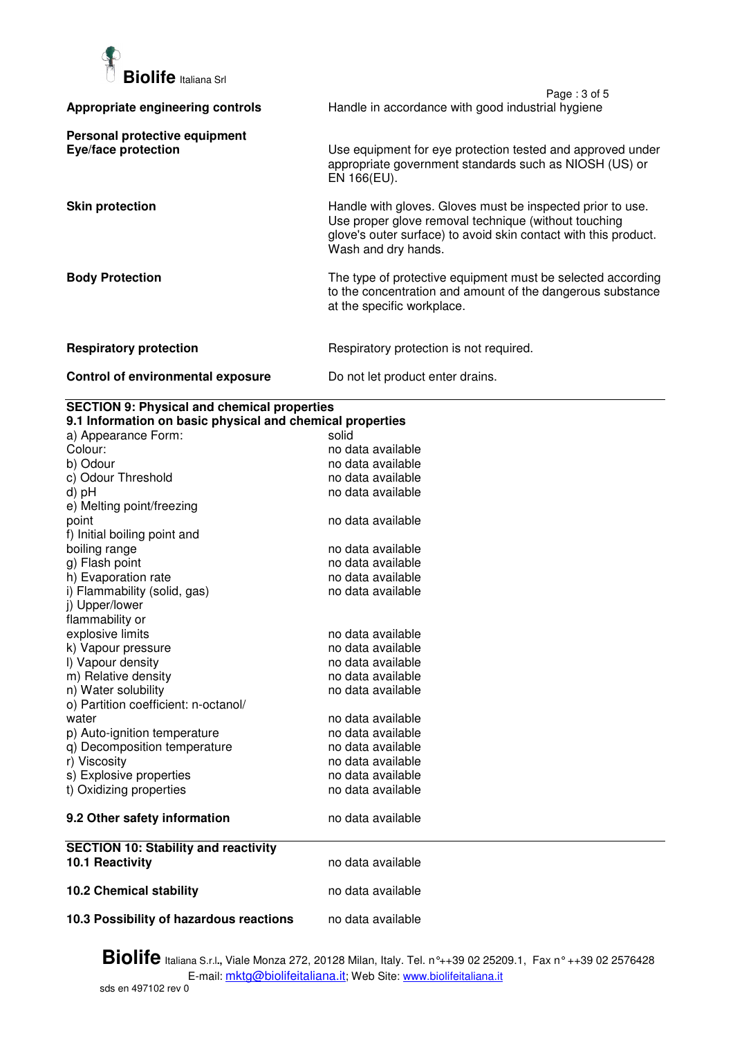

|                                                      | Page: 3 of 5                                                                                                                                                                                                 |
|------------------------------------------------------|--------------------------------------------------------------------------------------------------------------------------------------------------------------------------------------------------------------|
| Appropriate engineering controls                     | Handle in accordance with good industrial hygiene                                                                                                                                                            |
| Personal protective equipment<br>Eye/face protection | Use equipment for eye protection tested and approved under<br>appropriate government standards such as NIOSH (US) or<br>EN 166(EU).                                                                          |
| <b>Skin protection</b>                               | Handle with gloves. Gloves must be inspected prior to use.<br>Use proper glove removal technique (without touching<br>glove's outer surface) to avoid skin contact with this product.<br>Wash and dry hands. |
| <b>Body Protection</b>                               | The type of protective equipment must be selected according<br>to the concentration and amount of the dangerous substance<br>at the specific workplace.                                                      |
| <b>Respiratory protection</b>                        | Respiratory protection is not required.                                                                                                                                                                      |
| Control of environmental exposure                    | Do not let product enter drains.                                                                                                                                                                             |

## **SECTION 9: Physical and chemical properties**

| 9.1 Information on basic physical and chemical properties |                   |  |
|-----------------------------------------------------------|-------------------|--|
| a) Appearance Form:                                       | solid             |  |
| Colour:                                                   | no data available |  |
| b) Odour                                                  | no data available |  |
| c) Odour Threshold                                        | no data available |  |
| d) pH                                                     | no data available |  |
| e) Melting point/freezing                                 |                   |  |
| point                                                     | no data available |  |
| f) Initial boiling point and                              |                   |  |
| boiling range                                             | no data available |  |
| g) Flash point                                            | no data available |  |
| h) Evaporation rate                                       | no data available |  |
| i) Flammability (solid, gas)                              | no data available |  |
| j) Upper/lower                                            |                   |  |
| flammability or                                           |                   |  |
| explosive limits                                          | no data available |  |
| k) Vapour pressure                                        | no data available |  |
| I) Vapour density                                         | no data available |  |
| m) Relative density                                       | no data available |  |
| n) Water solubility                                       | no data available |  |
| o) Partition coefficient: n-octanol/                      |                   |  |
| water                                                     | no data available |  |
| p) Auto-ignition temperature                              | no data available |  |
| q) Decomposition temperature                              | no data available |  |
| r) Viscosity                                              | no data available |  |
| s) Explosive properties                                   | no data available |  |
| t) Oxidizing properties                                   | no data available |  |
| 9.2 Other safety information                              | no data available |  |
| <b>SECTION 10: Stability and reactivity</b>               |                   |  |
| 10.1 Reactivity                                           | no data available |  |
| <b>10.2 Chemical stability</b>                            | no data available |  |
|                                                           |                   |  |
| 10.3 Possibility of hazardous reactions                   | no data available |  |

**Biolife** Italiana S.r.l**.,** Viale Monza 272, 20128 Milan, Italy. Tel. n°++39 02 25209.1, Fax n° ++39 02 2576428 E-mail: <u>mktg@biolifeitaliana.it</u>; Web Site: www.biolifeitaliana.it sds en 497102 rev 0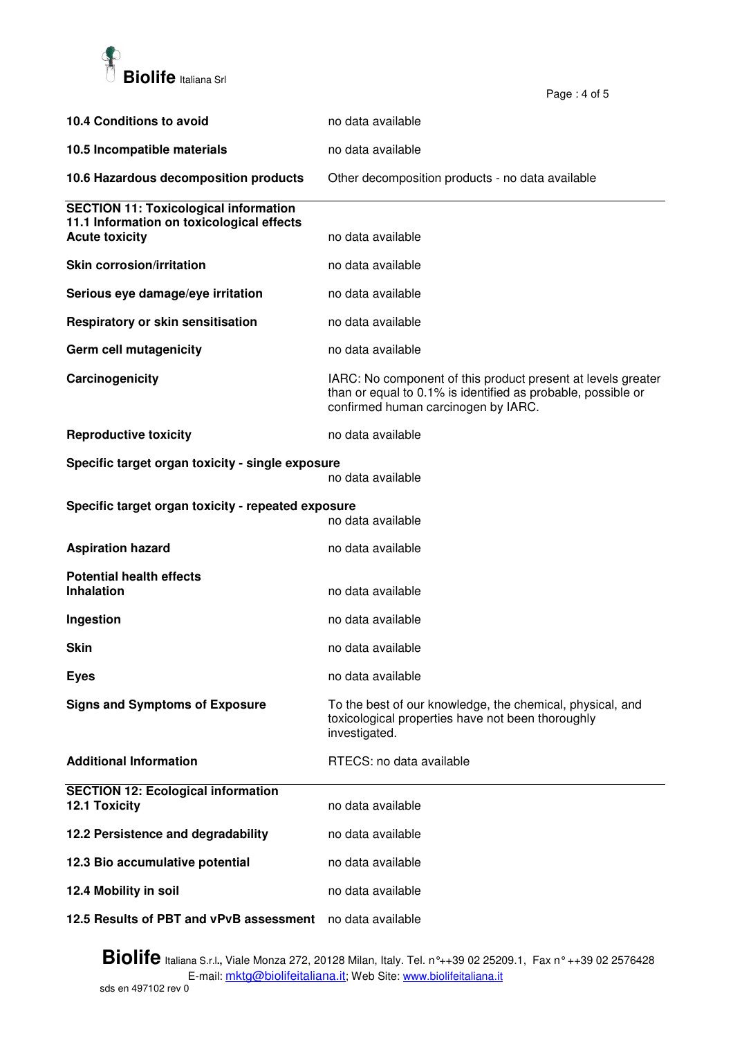

| 10.4 Conditions to avoid                                                | no data available                                                                                                                                                   |  |
|-------------------------------------------------------------------------|---------------------------------------------------------------------------------------------------------------------------------------------------------------------|--|
| 10.5 Incompatible materials                                             | no data available                                                                                                                                                   |  |
| 10.6 Hazardous decomposition products                                   | Other decomposition products - no data available                                                                                                                    |  |
| <b>SECTION 11: Toxicological information</b>                            |                                                                                                                                                                     |  |
| 11.1 Information on toxicological effects<br><b>Acute toxicity</b>      | no data available                                                                                                                                                   |  |
| <b>Skin corrosion/irritation</b>                                        | no data available                                                                                                                                                   |  |
| Serious eye damage/eye irritation                                       | no data available                                                                                                                                                   |  |
| Respiratory or skin sensitisation                                       | no data available                                                                                                                                                   |  |
| Germ cell mutagenicity                                                  | no data available                                                                                                                                                   |  |
| Carcinogenicity                                                         | IARC: No component of this product present at levels greater<br>than or equal to 0.1% is identified as probable, possible or<br>confirmed human carcinogen by IARC. |  |
| <b>Reproductive toxicity</b>                                            | no data available                                                                                                                                                   |  |
| Specific target organ toxicity - single exposure<br>no data available   |                                                                                                                                                                     |  |
| Specific target organ toxicity - repeated exposure<br>no data available |                                                                                                                                                                     |  |
| <b>Aspiration hazard</b>                                                | no data available                                                                                                                                                   |  |
| <b>Potential health effects</b>                                         |                                                                                                                                                                     |  |
| <b>Inhalation</b>                                                       | no data available                                                                                                                                                   |  |
| Ingestion                                                               | no data available                                                                                                                                                   |  |
| Skin                                                                    | no data available                                                                                                                                                   |  |
| <b>Eyes</b>                                                             | no data available                                                                                                                                                   |  |
| <b>Signs and Symptoms of Exposure</b>                                   | To the best of our knowledge, the chemical, physical, and<br>toxicological properties have not been thoroughly<br>investigated.                                     |  |
| <b>Additional Information</b>                                           | RTECS: no data available                                                                                                                                            |  |
| <b>SECTION 12: Ecological information</b><br>12.1 Toxicity              | no data available                                                                                                                                                   |  |
| 12.2 Persistence and degradability                                      | no data available                                                                                                                                                   |  |
| 12.3 Bio accumulative potential                                         | no data available                                                                                                                                                   |  |
| 12.4 Mobility in soil                                                   | no data available                                                                                                                                                   |  |
| 12.5 Results of PBT and vPvB assessment                                 | no data available                                                                                                                                                   |  |

Page : 4 of 5